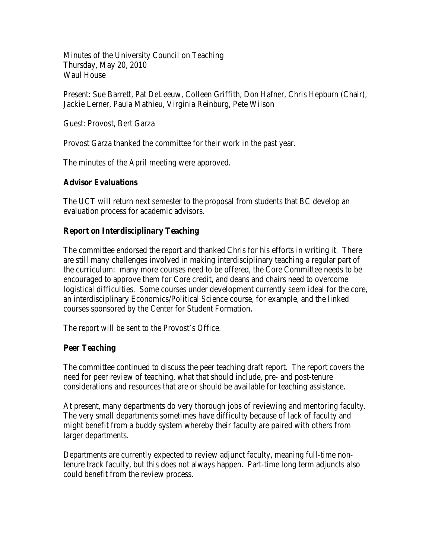Minutes of the University Council on Teaching Thursday, May 20, 2010 Waul House

Present: Sue Barrett, Pat DeLeeuw, Colleen Griffith, Don Hafner, Chris Hepburn (Chair), Jackie Lerner, Paula Mathieu, Virginia Reinburg, Pete Wilson

Guest: Provost, Bert Garza

Provost Garza thanked the committee for their work in the past year.

The minutes of the April meeting were approved.

## **Advisor Evaluations**

The UCT will return next semester to the proposal from students that BC develop an evaluation process for academic advisors.

## **Report on Interdisciplinary Teaching**

The committee endorsed the report and thanked Chris for his efforts in writing it. There are still many challenges involved in making interdisciplinary teaching a regular part of the curriculum: many more courses need to be offered, the Core Committee needs to be encouraged to approve them for Core credit, and deans and chairs need to overcome logistical difficulties. Some courses under development currently seem ideal for the core, an interdisciplinary Economics/Political Science course, for example, and the linked courses sponsored by the Center for Student Formation.

The report will be sent to the Provost's Office.

## **Peer Teaching**

The committee continued to discuss the peer teaching draft report. The report covers the need for peer review of teaching, what that should include, pre- and post-tenure considerations and resources that are or should be available for teaching assistance.

At present, many departments do very thorough jobs of reviewing and mentoring faculty. The very small departments sometimes have difficulty because of lack of faculty and might benefit from a buddy system whereby their faculty are paired with others from larger departments.

Departments are currently expected to review adjunct faculty, meaning full-time nontenure track faculty, but this does not always happen. Part-time long term adjuncts also could benefit from the review process.